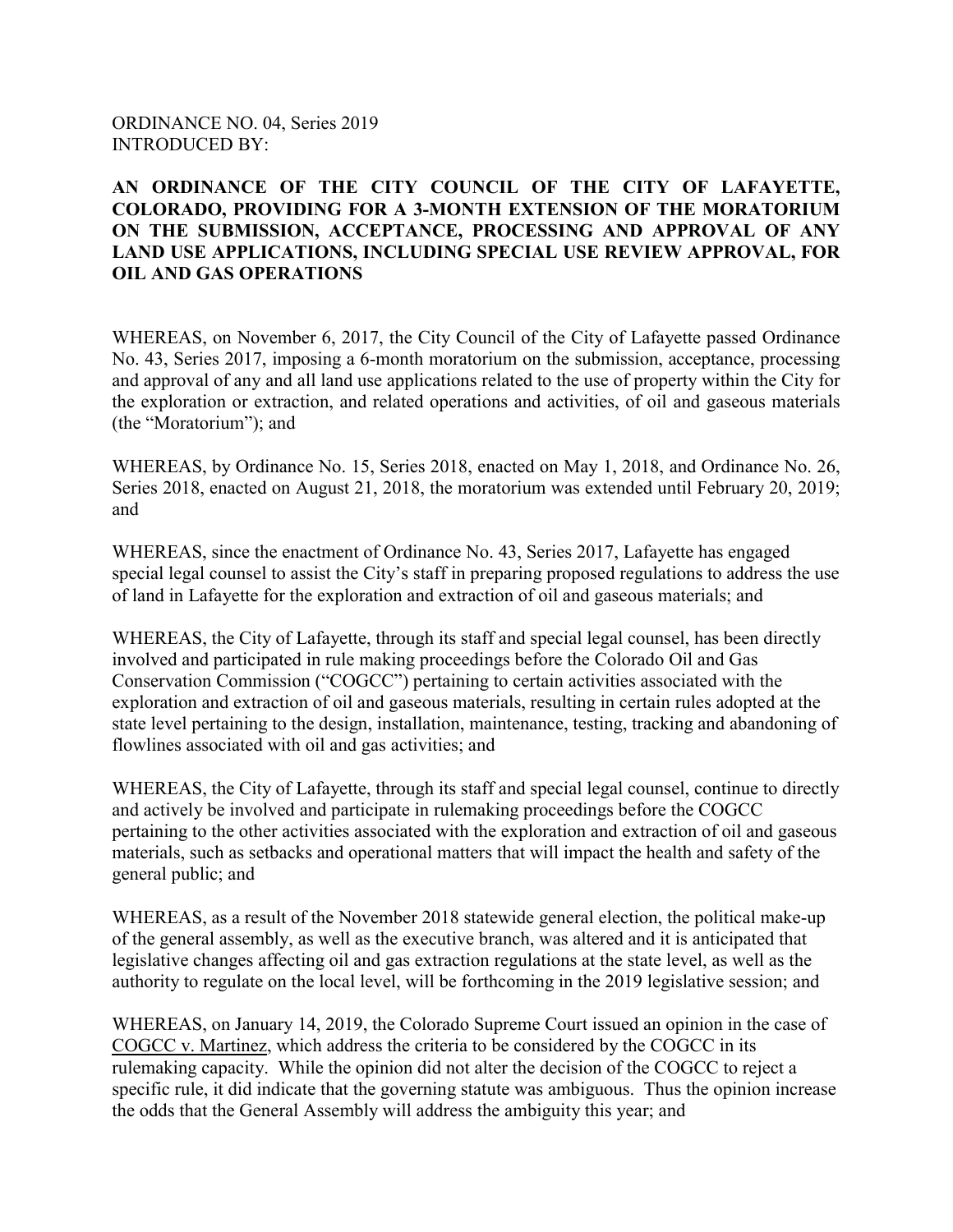ORDINANCE NO. 04, Series 2019 INTRODUCED BY:

## **AN ORDINANCE OF THE CITY COUNCIL OF THE CITY OF LAFAYETTE, COLORADO, PROVIDING FOR A 3-MONTH EXTENSION OF THE MORATORIUM ON THE SUBMISSION, ACCEPTANCE, PROCESSING AND APPROVAL OF ANY LAND USE APPLICATIONS, INCLUDING SPECIAL USE REVIEW APPROVAL, FOR OIL AND GAS OPERATIONS**

WHEREAS, on November 6, 2017, the City Council of the City of Lafayette passed Ordinance No. 43, Series 2017, imposing a 6-month moratorium on the submission, acceptance, processing and approval of any and all land use applications related to the use of property within the City for the exploration or extraction, and related operations and activities, of oil and gaseous materials (the "Moratorium"); and

WHEREAS, by Ordinance No. 15, Series 2018, enacted on May 1, 2018, and Ordinance No. 26, Series 2018, enacted on August 21, 2018, the moratorium was extended until February 20, 2019; and

WHEREAS, since the enactment of Ordinance No. 43, Series 2017, Lafayette has engaged special legal counsel to assist the City's staff in preparing proposed regulations to address the use of land in Lafayette for the exploration and extraction of oil and gaseous materials; and

WHEREAS, the City of Lafayette, through its staff and special legal counsel, has been directly involved and participated in rule making proceedings before the Colorado Oil and Gas Conservation Commission ("COGCC") pertaining to certain activities associated with the exploration and extraction of oil and gaseous materials, resulting in certain rules adopted at the state level pertaining to the design, installation, maintenance, testing, tracking and abandoning of flowlines associated with oil and gas activities; and

WHEREAS, the City of Lafayette, through its staff and special legal counsel, continue to directly and actively be involved and participate in rulemaking proceedings before the COGCC pertaining to the other activities associated with the exploration and extraction of oil and gaseous materials, such as setbacks and operational matters that will impact the health and safety of the general public; and

WHEREAS, as a result of the November 2018 statewide general election, the political make-up of the general assembly, as well as the executive branch, was altered and it is anticipated that legislative changes affecting oil and gas extraction regulations at the state level, as well as the authority to regulate on the local level, will be forthcoming in the 2019 legislative session; and

WHEREAS, on January 14, 2019, the Colorado Supreme Court issued an opinion in the case of COGCC v. Martinez, which address the criteria to be considered by the COGCC in its rulemaking capacity. While the opinion did not alter the decision of the COGCC to reject a specific rule, it did indicate that the governing statute was ambiguous. Thus the opinion increase the odds that the General Assembly will address the ambiguity this year; and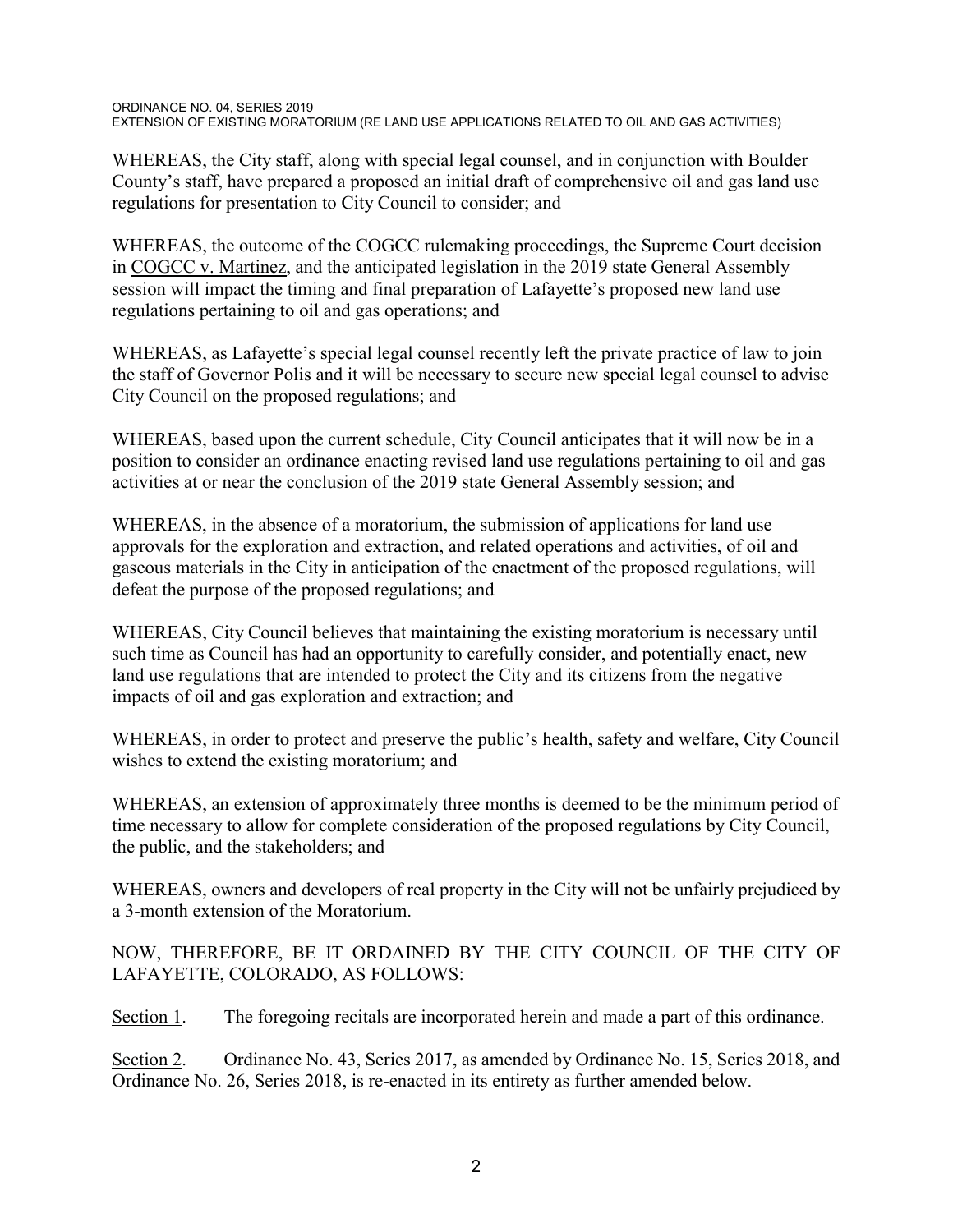WHEREAS, the City staff, along with special legal counsel, and in conjunction with Boulder County's staff, have prepared a proposed an initial draft of comprehensive oil and gas land use regulations for presentation to City Council to consider; and

WHEREAS, the outcome of the COGCC rulemaking proceedings, the Supreme Court decision in COGCC v. Martinez, and the anticipated legislation in the 2019 state General Assembly session will impact the timing and final preparation of Lafayette's proposed new land use regulations pertaining to oil and gas operations; and

WHEREAS, as Lafayette's special legal counsel recently left the private practice of law to join the staff of Governor Polis and it will be necessary to secure new special legal counsel to advise City Council on the proposed regulations; and

WHEREAS, based upon the current schedule, City Council anticipates that it will now be in a position to consider an ordinance enacting revised land use regulations pertaining to oil and gas activities at or near the conclusion of the 2019 state General Assembly session; and

WHEREAS, in the absence of a moratorium, the submission of applications for land use approvals for the exploration and extraction, and related operations and activities, of oil and gaseous materials in the City in anticipation of the enactment of the proposed regulations, will defeat the purpose of the proposed regulations; and

WHEREAS, City Council believes that maintaining the existing moratorium is necessary until such time as Council has had an opportunity to carefully consider, and potentially enact, new land use regulations that are intended to protect the City and its citizens from the negative impacts of oil and gas exploration and extraction; and

WHEREAS, in order to protect and preserve the public's health, safety and welfare, City Council wishes to extend the existing moratorium; and

WHEREAS, an extension of approximately three months is deemed to be the minimum period of time necessary to allow for complete consideration of the proposed regulations by City Council, the public, and the stakeholders; and

WHEREAS, owners and developers of real property in the City will not be unfairly prejudiced by a 3-month extension of the Moratorium.

NOW, THEREFORE, BE IT ORDAINED BY THE CITY COUNCIL OF THE CITY OF LAFAYETTE, COLORADO, AS FOLLOWS:

Section 1. The foregoing recitals are incorporated herein and made a part of this ordinance.

Section 2. Ordinance No. 43, Series 2017, as amended by Ordinance No. 15, Series 2018, and Ordinance No. 26, Series 2018, is re-enacted in its entirety as further amended below.